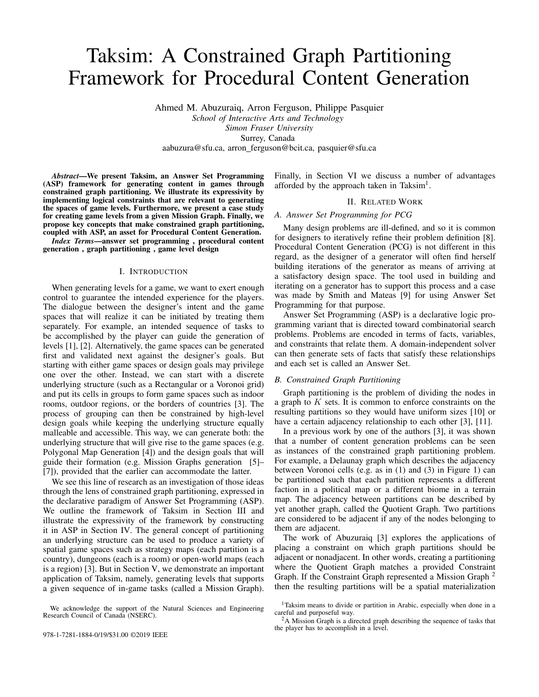# Taksim: A Constrained Graph Partitioning Framework for Procedural Content Generation

Ahmed M. Abuzuraiq, Arron Ferguson, Philippe Pasquier *School of Interactive Arts and Technology*

*Simon Fraser University*

Surrey, Canada

aabuzura@sfu.ca, arron ferguson@bcit.ca, pasquier@sfu.ca

*Abstract*—We present Taksim, an Answer Set Programming (ASP) framework for generating content in games through constrained graph partitioning. We illustrate its expressivity by implementing logical constraints that are relevant to generating the spaces of game levels. Furthermore, we present a case study for creating game levels from a given Mission Graph. Finally, we propose key concepts that make constrained graph partitioning, coupled with ASP, an asset for Procedural Content Generation.

*Index Terms*—answer set programming , procedural content generation , graph partitioning , game level design

## I. INTRODUCTION

When generating levels for a game, we want to exert enough control to guarantee the intended experience for the players. The dialogue between the designer's intent and the game spaces that will realize it can be initiated by treating them separately. For example, an intended sequence of tasks to be accomplished by the player can guide the generation of levels [1], [2]. Alternatively, the game spaces can be generated first and validated next against the designer's goals. But starting with either game spaces or design goals may privilege one over the other. Instead, we can start with a discrete underlying structure (such as a Rectangular or a Voronoi grid) and put its cells in groups to form game spaces such as indoor rooms, outdoor regions, or the borders of countries [3]. The process of grouping can then be constrained by high-level design goals while keeping the underlying structure equally malleable and accessible. This way, we can generate both: the underlying structure that will give rise to the game spaces (e.g. Polygonal Map Generation [4]) and the design goals that will guide their formation (e.g. Mission Graphs generation [5]– [7]), provided that the earlier can accommodate the latter.

We see this line of research as an investigation of those ideas through the lens of constrained graph partitioning, expressed in the declarative paradigm of Answer Set Programming (ASP). We outline the framework of Taksim in Section III and illustrate the expressivity of the framework by constructing it in ASP in Section IV. The general concept of partitioning an underlying structure can be used to produce a variety of spatial game spaces such as strategy maps (each partition is a country), dungeons (each is a room) or open-world maps (each is a region) [3]. But in Section V, we demonstrate an important application of Taksim, namely, generating levels that supports a given sequence of in-game tasks (called a Mission Graph).

We acknowledge the support of the Natural Sciences and Engineering Research Council of Canada (NSERC).

Finally, in Section VI we discuss a number of advantages afforded by the approach taken in Taksim<sup>1</sup>.

## II. RELATED WORK

## *A. Answer Set Programming for PCG*

Many design problems are ill-defined, and so it is common for designers to iteratively refine their problem definition [8]. Procedural Content Generation (PCG) is not different in this regard, as the designer of a generator will often find herself building iterations of the generator as means of arriving at a satisfactory design space. The tool used in building and iterating on a generator has to support this process and a case was made by Smith and Mateas [9] for using Answer Set Programming for that purpose.

Answer Set Programming (ASP) is a declarative logic programming variant that is directed toward combinatorial search problems. Problems are encoded in terms of facts, variables, and constraints that relate them. A domain-independent solver can then generate sets of facts that satisfy these relationships and each set is called an Answer Set.

## *B. Constrained Graph Partitioning*

Graph partitioning is the problem of dividing the nodes in a graph to  $K$  sets. It is common to enforce constraints on the resulting partitions so they would have uniform sizes [10] or have a certain adjacency relationship to each other [3], [11].

In a previous work by one of the authors [3], it was shown that a number of content generation problems can be seen as instances of the constrained graph partitioning problem. For example, a Delaunay graph which describes the adjacency between Voronoi cells (e.g. as in (1) and (3) in Figure 1) can be partitioned such that each partition represents a different faction in a political map or a different biome in a terrain map. The adjacency between partitions can be described by yet another graph, called the Quotient Graph. Two partitions are considered to be adjacent if any of the nodes belonging to them are adjacent.

The work of Abuzuraiq [3] explores the applications of placing a constraint on which graph partitions should be adjacent or nonadjacent. In other words, creating a partitioning where the Quotient Graph matches a provided Constraint Graph. If the Constraint Graph represented a Mission Graph<sup>2</sup> then the resulting partitions will be a spatial materialization

<sup>&</sup>lt;sup>1</sup>Taksim means to divide or partition in Arabic, especially when done in a careful and purposeful way.

<sup>&</sup>lt;sup>2</sup>A Mission Graph is a directed graph describing the sequence of tasks that the player has to accomplish in a level.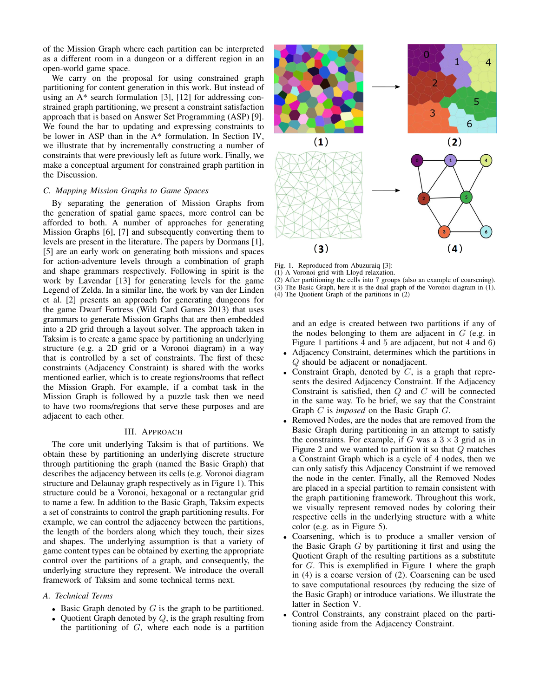of the Mission Graph where each partition can be interpreted as a different room in a dungeon or a different region in an open-world game space.

We carry on the proposal for using constrained graph partitioning for content generation in this work. But instead of using an A\* search formulation [3], [12] for addressing constrained graph partitioning, we present a constraint satisfaction approach that is based on Answer Set Programming (ASP) [9]. We found the bar to updating and expressing constraints to be lower in ASP than in the A\* formulation. In Section IV, we illustrate that by incrementally constructing a number of constraints that were previously left as future work. Finally, we make a conceptual argument for constrained graph partition in the Discussion.

# *C. Mapping Mission Graphs to Game Spaces*

By separating the generation of Mission Graphs from the generation of spatial game spaces, more control can be afforded to both. A number of approaches for generating Mission Graphs [6], [7] and subsequently converting them to levels are present in the literature. The papers by Dormans [1], [5] are an early work on generating both missions and spaces for action-adventure levels through a combination of graph and shape grammars respectively. Following in spirit is the work by Lavendar [13] for generating levels for the game Legend of Zelda. In a similar line, the work by van der Linden et al. [2] presents an approach for generating dungeons for the game Dwarf Fortress (Wild Card Games 2013) that uses grammars to generate Mission Graphs that are then embedded into a 2D grid through a layout solver. The approach taken in Taksim is to create a game space by partitioning an underlying structure (e.g. a 2D grid or a Voronoi diagram) in a way that is controlled by a set of constraints. The first of these constraints (Adjacency Constraint) is shared with the works mentioned earlier, which is to create regions/rooms that reflect the Mission Graph. For example, if a combat task in the Mission Graph is followed by a puzzle task then we need to have two rooms/regions that serve these purposes and are adjacent to each other.

## III. APPROACH

The core unit underlying Taksim is that of partitions. We obtain these by partitioning an underlying discrete structure through partitioning the graph (named the Basic Graph) that describes the adjacency between its cells (e.g. Voronoi diagram structure and Delaunay graph respectively as in Figure 1). This structure could be a Voronoi, hexagonal or a rectangular grid to name a few. In addition to the Basic Graph, Taksim expects a set of constraints to control the graph partitioning results. For example, we can control the adjacency between the partitions, the length of the borders along which they touch, their sizes and shapes. The underlying assumption is that a variety of game content types can be obtained by exerting the appropriate control over the partitions of a graph, and consequently, the underlying structure they represent. We introduce the overall framework of Taksim and some technical terms next.

## *A. Technical Terms*

- Basic Graph denoted by  $G$  is the graph to be partitioned.
- Quotient Graph denoted by  $Q$ , is the graph resulting from the partitioning of  $G$ , where each node is a partition



- Fig. 1. Reproduced from Abuzuraiq [3]:
- (1) A Voronoi grid with Lloyd relaxation.
- (2) After partitioning the cells into 7 groups (also an example of coarsening). (3) The Basic Graph, here it is the dual graph of the Voronoi diagram in (1).
- (4) The Quotient Graph of the partitions in (2)
- 

and an edge is created between two partitions if any of the nodes belonging to them are adjacent in  $G$  (e.g. in Figure 1 partitions 4 and 5 are adjacent, but not 4 and 6)

- Adjacency Constraint, determines which the partitions in Q should be adjacent or nonadjacent.
- Constraint Graph, denoted by  $C$ , is a graph that represents the desired Adjacency Constraint. If the Adjacency Constraint is satisfied, then  $Q$  and  $C$  will be connected in the same way. To be brief, we say that the Constraint Graph C is *imposed* on the Basic Graph G.
- Removed Nodes, are the nodes that are removed from the Basic Graph during partitioning in an attempt to satisfy the constraints. For example, if G was a  $3 \times 3$  grid as in Figure 2 and we wanted to partition it so that  $\overline{Q}$  matches a Constraint Graph which is a cycle of 4 nodes, then we can only satisfy this Adjacency Constraint if we removed the node in the center. Finally, all the Removed Nodes are placed in a special partition to remain consistent with the graph partitioning framework. Throughout this work, we visually represent removed nodes by coloring their respective cells in the underlying structure with a white color (e.g. as in Figure 5).
- Coarsening, which is to produce a smaller version of the Basic Graph  $G$  by partitioning it first and using the Quotient Graph of the resulting partitions as a substitute for G. This is exemplified in Figure 1 where the graph in (4) is a coarse version of (2). Coarsening can be used to save computational resources (by reducing the size of the Basic Graph) or introduce variations. We illustrate the latter in Section V.
- Control Constraints, any constraint placed on the partitioning aside from the Adjacency Constraint.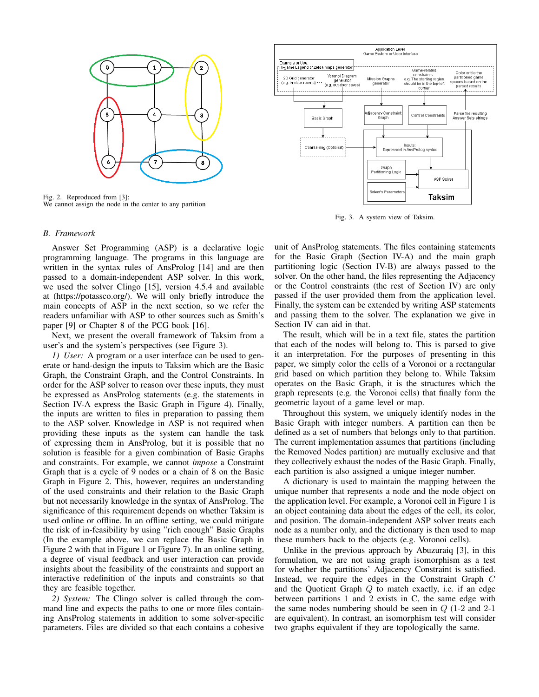

Fig. 2. Reproduced from [3]: We cannot assign the node in the center to any partition

## *B. Framework*

Answer Set Programming (ASP) is a declarative logic programming language. The programs in this language are written in the syntax rules of AnsProlog [14] and are then passed to a domain-independent ASP solver. In this work, we used the solver Clingo [15], version 4.5.4 and available at (https://potassco.org/). We will only briefly introduce the main concepts of ASP in the next section, so we refer the readers unfamiliar with ASP to other sources such as Smith's paper [9] or Chapter 8 of the PCG book [16].

Next, we present the overall framework of Taksim from a user's and the system's perspectives (see Figure 3).

*1) User:* A program or a user interface can be used to generate or hand-design the inputs to Taksim which are the Basic Graph, the Constraint Graph, and the Control Constraints. In order for the ASP solver to reason over these inputs, they must be expressed as AnsProlog statements (e.g. the statements in Section IV-A express the Basic Graph in Figure 4). Finally, the inputs are written to files in preparation to passing them to the ASP solver. Knowledge in ASP is not required when providing these inputs as the system can handle the task of expressing them in AnsProlog, but it is possible that no solution is feasible for a given combination of Basic Graphs and constraints. For example, we cannot *impose* a Constraint Graph that is a cycle of 9 nodes or a chain of 8 on the Basic Graph in Figure 2. This, however, requires an understanding of the used constraints and their relation to the Basic Graph but not necessarily knowledge in the syntax of AnsProlog. The significance of this requirement depends on whether Taksim is used online or offline. In an offline setting, we could mitigate the risk of in-feasibility by using "rich enough" Basic Graphs (In the example above, we can replace the Basic Graph in Figure 2 with that in Figure 1 or Figure 7). In an online setting, a degree of visual feedback and user interaction can provide insights about the feasibility of the constraints and support an interactive redefinition of the inputs and constraints so that they are feasible together.

*2) System:* The Clingo solver is called through the command line and expects the paths to one or more files containing AnsProlog statements in addition to some solver-specific parameters. Files are divided so that each contains a cohesive



Fig. 3. A system view of Taksim.

unit of AnsProlog statements. The files containing statements for the Basic Graph (Section IV-A) and the main graph partitioning logic (Section IV-B) are always passed to the solver. On the other hand, the files representing the Adjacency or the Control constraints (the rest of Section IV) are only passed if the user provided them from the application level. Finally, the system can be extended by writing ASP statements and passing them to the solver. The explanation we give in Section IV can aid in that.

The result, which will be in a text file, states the partition that each of the nodes will belong to. This is parsed to give it an interpretation. For the purposes of presenting in this paper, we simply color the cells of a Voronoi or a rectangular grid based on which partition they belong to. While Taksim operates on the Basic Graph, it is the structures which the graph represents (e.g. the Voronoi cells) that finally form the geometric layout of a game level or map.

Throughout this system, we uniquely identify nodes in the Basic Graph with integer numbers. A partition can then be defined as a set of numbers that belongs only to that partition. The current implementation assumes that partitions (including the Removed Nodes partition) are mutually exclusive and that they collectively exhaust the nodes of the Basic Graph. Finally, each partition is also assigned a unique integer number.

A dictionary is used to maintain the mapping between the unique number that represents a node and the node object on the application level. For example, a Voronoi cell in Figure 1 is an object containing data about the edges of the cell, its color, and position. The domain-independent ASP solver treats each node as a number only, and the dictionary is then used to map these numbers back to the objects (e.g. Voronoi cells).

Unlike in the previous approach by Abuzuraiq [3], in this formulation, we are not using graph isomorphism as a test for whether the partitions' Adjacency Constraint is satisfied. Instead, we require the edges in the Constraint Graph C and the Quotient Graph  $Q$  to match exactly, i.e. if an edge between partitions 1 and 2 exists in C, the same edge with the same nodes numbering should be seen in  $Q$  (1-2 and 2-1) are equivalent). In contrast, an isomorphism test will consider two graphs equivalent if they are topologically the same.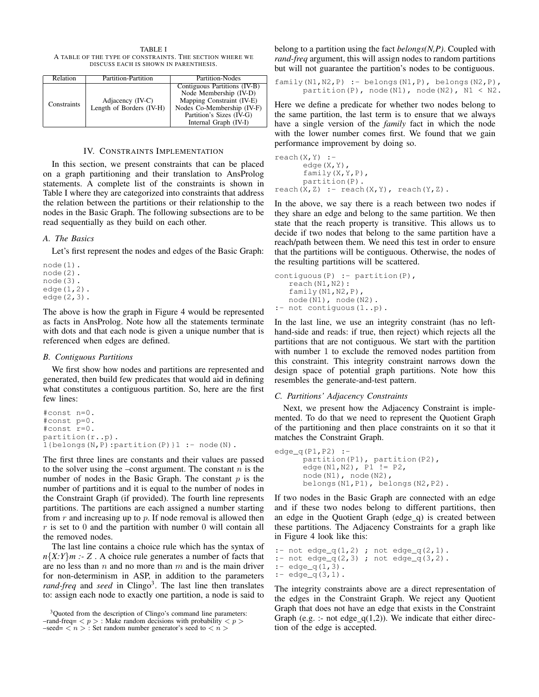TABLE I A TABLE OF THE TYPE OF CONSTRAINTS. THE SECTION WHERE WE DISCUSS EACH IS SHOWN IN PARENTHESIS.

| <b>Relation</b> | Partition-Partition                          | Partition-Nodes                                                                                                                                                        |
|-----------------|----------------------------------------------|------------------------------------------------------------------------------------------------------------------------------------------------------------------------|
| Constraints     | Adjacency (IV-C)<br>Length of Borders (IV-H) | Contiguous Partitions (IV-B)<br>Node Membership (IV-D)<br>Mapping Constraint (IV-E)<br>Nodes Co-Membership (IV-F)<br>Partition's Sizes (IV-G)<br>Internal Graph (IV-I) |

## IV. CONSTRAINTS IMPLEMENTATION

In this section, we present constraints that can be placed on a graph partitioning and their translation to AnsProlog statements. A complete list of the constraints is shown in Table I where they are categorized into constraints that address the relation between the partitions or their relationship to the nodes in the Basic Graph. The following subsections are to be read sequentially as they build on each other.

#### *A. The Basics*

Let's first represent the nodes and edges of the Basic Graph:

```
node(1).
node(2).
node(3).
edge(1,2).
edge(2,3).
```
The above is how the graph in Figure 4 would be represented as facts in AnsProlog. Note how all the statements terminate with dots and that each node is given a unique number that is referenced when edges are defined.

#### *B. Contiguous Partitions*

We first show how nodes and partitions are represented and generated, then build few predicates that would aid in defining what constitutes a contiguous partition. So, here are the first few lines:

```
#const n=0.
#const p=0.
#const r=0.
partition(r..p).
1{\text{(belongs (N, P):} partition(P) }1 : - node(N).
```
The first three lines are constants and their values are passed to the solver using the –const argument. The constant  $n$  is the number of nodes in the Basic Graph. The constant  $p$  is the number of partitions and it is equal to the number of nodes in the Constraint Graph (if provided). The fourth line represents partitions. The partitions are each assigned a number starting from  $r$  and increasing up to  $p$ . If node removal is allowed then  $r$  is set to 0 and the partition with number 0 will contain all the removed nodes.

The last line contains a choice rule which has the syntax of  $n\{X:Y\}$ *m* :- Z. A choice rule generates a number of facts that are no less than  $n$  and no more than  $m$  and is the main driver for non-determinism in ASP, in addition to the parameters rand-freq and *seed* in Clingo<sup>3</sup>. The last line then translates to: assign each node to exactly one partition, a node is said to belong to a partition using the fact *belongs(N,P)*. Coupled with *rand-freq* argument, this will assign nodes to random partitions but will not guarantee the partition's nodes to be contiguous.

```
family(N1,N2,P) :- belongs(N1,P), belongs(N2,P),
     partition(P), node(N1), node(N2), N1 < N2.
```
Here we define a predicate for whether two nodes belong to the same partition, the last term is to ensure that we always have a single version of the *family* fact in which the node with the lower number comes first. We found that we gain performance improvement by doing so.

```
reach(X,Y) :-
      edge(X,Y),
      family(X,Y,P),
      partition(P).
reach(X, Z) :- reach(X, Y), reach(Y, Z).
```
In the above, we say there is a reach between two nodes if they share an edge and belong to the same partition. We then state that the reach property is transitive. This allows us to decide if two nodes that belong to the same partition have a reach/path between them. We need this test in order to ensure that the partitions will be contiguous. Otherwise, the nodes of the resulting partitions will be scattered.

```
contiguous(P) :- partition(P),
   reach(N1,N2):
   family(N1,N2,P),
  node(N1), node(N2).
:- not contiguous(1..p).
```
In the last line, we use an integrity constraint (has no lefthand-side and reads: if true, then reject) which rejects all the partitions that are not contiguous. We start with the partition with number 1 to exclude the removed nodes partition from this constraint. This integrity constraint narrows down the design space of potential graph partitions. Note how this resembles the generate-and-test pattern.

## *C. Partitions' Adjacency Constraints*

Next, we present how the Adjacency Constraint is implemented. To do that we need to represent the Quotient Graph of the partitioning and then place constraints on it so that it matches the Constraint Graph.

```
edge_q(P1, P2) :-
     partition(P1), partition(P2),
      edge(N1,N2), P1 != P2,
      node(N1), node(N2),
     belongs(N1,P1), belongs(N2,P2).
```
If two nodes in the Basic Graph are connected with an edge and if these two nodes belong to different partitions, then an edge in the Quotient Graph  $(edge_q)$  is created between these partitions. The Adjacency Constraints for a graph like in Figure 4 look like this:

```
:- not edge_q(1,2) ; not edge_q(2,1).
:- not edge_q(2,3) ; not edge_q(3,2).
: - edge_q(1,3).
: = edge_q(3,1).
```
The integrity constraints above are a direct representation of the edges in the Constraint Graph. We reject any Quotient Graph that does not have an edge that exists in the Constraint Graph (e.g. :- not edge\_q(1,2)). We indicate that either direction of the edge is accepted.

<sup>&</sup>lt;sup>3</sup>Quoted from the description of Clingo's command line parameters: –rand-freq =  $\langle p \rangle$ : Make random decisions with probability  $\langle p \rangle$  $-{\rm seed} = \langle n \rangle$ : Set random number generator's seed to  $\langle n \rangle$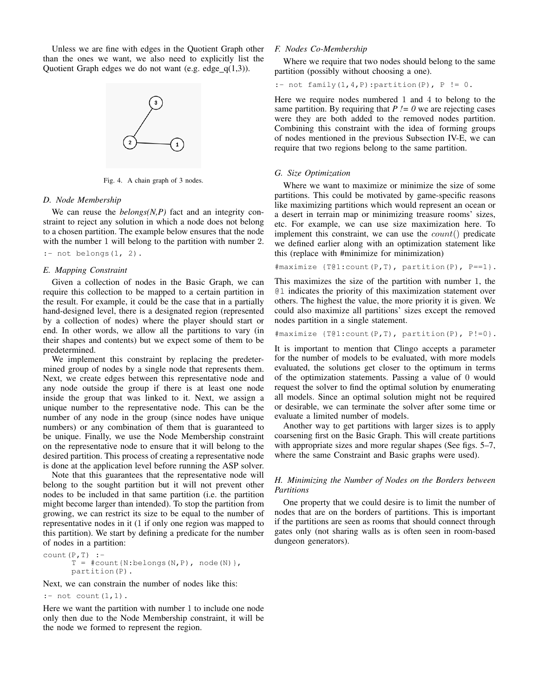Unless we are fine with edges in the Quotient Graph other than the ones we want, we also need to explicitly list the Quotient Graph edges we do not want (e.g. edge\_q $(1,3)$ ).



Fig. 4. A chain graph of 3 nodes.

## *D. Node Membership*

We can reuse the *belongs(N,P)* fact and an integrity constraint to reject any solution in which a node does not belong to a chosen partition. The example below ensures that the node with the number 1 will belong to the partition with number 2.

:- not belongs(1, 2).

# *E. Mapping Constraint*

Given a collection of nodes in the Basic Graph, we can require this collection to be mapped to a certain partition in the result. For example, it could be the case that in a partially hand-designed level, there is a designated region (represented by a collection of nodes) where the player should start or end. In other words, we allow all the partitions to vary (in their shapes and contents) but we expect some of them to be predetermined.

We implement this constraint by replacing the predetermined group of nodes by a single node that represents them. Next, we create edges between this representative node and any node outside the group if there is at least one node inside the group that was linked to it. Next, we assign a unique number to the representative node. This can be the number of any node in the group (since nodes have unique numbers) or any combination of them that is guaranteed to be unique. Finally, we use the Node Membership constraint on the representative node to ensure that it will belong to the desired partition. This process of creating a representative node is done at the application level before running the ASP solver.

Note that this guarantees that the representative node will belong to the sought partition but it will not prevent other nodes to be included in that same partition (i.e. the partition might become larger than intended). To stop the partition from growing, we can restrict its size to be equal to the number of representative nodes in it (1 if only one region was mapped to this partition). We start by defining a predicate for the number of nodes in a partition:

```
count(P,T) :-
      T = #count(N:belongs(N, P), node(N));partition(P).
```
Next, we can constrain the number of nodes like this:

 $:$  - not count  $(1,1)$ .

Here we want the partition with number 1 to include one node only then due to the Node Membership constraint, it will be the node we formed to represent the region.

# *F. Nodes Co-Membership*

Where we require that two nodes should belong to the same partition (possibly without choosing a one).

:- not family(1,4,P): partition(P),  $P$  != 0.

Here we require nodes numbered 1 and 4 to belong to the same partition. By requiring that  $P = 0$  we are rejecting cases were they are both added to the removed nodes partition. Combining this constraint with the idea of forming groups of nodes mentioned in the previous Subsection IV-E, we can require that two regions belong to the same partition.

#### *G. Size Optimization*

Where we want to maximize or minimize the size of some partitions. This could be motivated by game-specific reasons like maximizing partitions which would represent an ocean or a desert in terrain map or minimizing treasure rooms' sizes, etc. For example, we can use size maximization here. To implement this constraint, we can use the  $count()$  predicate we defined earlier along with an optimization statement like this (replace with #minimize for minimization)

#maximize {T@1:count(P,T), partition(P), P==1}.

This maximizes the size of the partition with number 1, the @1 indicates the priority of this maximization statement over others. The highest the value, the more priority it is given. We could also maximize all partitions' sizes except the removed nodes partition in a single statement.

```
#maximize {T@1:count(P,T), partition(P), P!=0}.
```
It is important to mention that Clingo accepts a parameter for the number of models to be evaluated, with more models evaluated, the solutions get closer to the optimum in terms of the optimization statements. Passing a value of 0 would request the solver to find the optimal solution by enumerating all models. Since an optimal solution might not be required or desirable, we can terminate the solver after some time or evaluate a limited number of models.

Another way to get partitions with larger sizes is to apply coarsening first on the Basic Graph. This will create partitions with appropriate sizes and more regular shapes (See figs. 5–7, where the same Constraint and Basic graphs were used).

# *H. Minimizing the Number of Nodes on the Borders between Partitions*

One property that we could desire is to limit the number of nodes that are on the borders of partitions. This is important if the partitions are seen as rooms that should connect through gates only (not sharing walls as is often seen in room-based dungeon generators).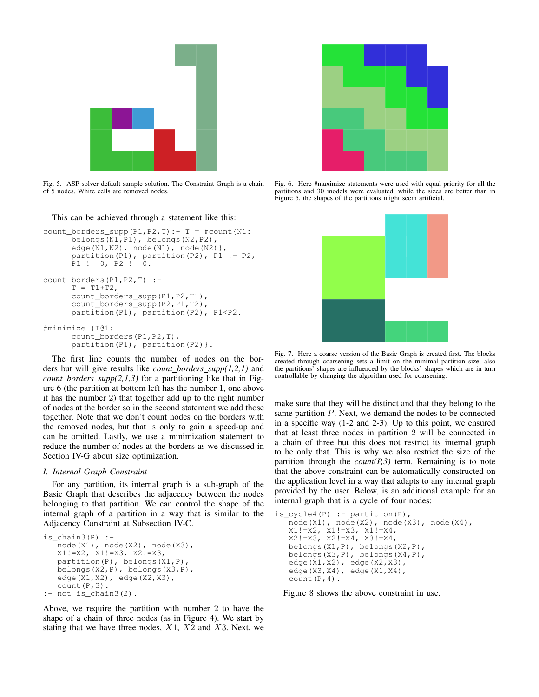

Fig. 5. ASP solver default sample solution. The Constraint Graph is a chain of 5 nodes. White cells are removed nodes.

This can be achieved through a statement like this:

```
count_borders_supp(P1, P2, T) :- T = #count[M1:belongs(N1,P1), belongs(N2,P2),
      edge(N1,N2), node(N1), node(N2)},
      partition(P1), partition(P2), P1 != P2,
      P1 := 0, P2 := 0.count_borders(P1,P2,T) :-
      T = T1+T2,count_borders_supp(P1,P2,T1),
      count_borders_supp(P2,P1,T2),
     partition(P1), partition(P2), P1<P2.
#minimize {T@1:
      count borders(P1,P2,T),
      partition(P1), partition(P2) }.
```
The first line counts the number of nodes on the borders but will give results like *count borders supp(1,2,1)* and *count borders supp(2,1,3)* for a partitioning like that in Figure 6 (the partition at bottom left has the number 1, one above it has the number 2) that together add up to the right number of nodes at the border so in the second statement we add those together. Note that we don't count nodes on the borders with the removed nodes, but that is only to gain a speed-up and can be omitted. Lastly, we use a minimization statement to reduce the number of nodes at the borders as we discussed in Section IV-G about size optimization.

# *I. Internal Graph Constraint*

For any partition, its internal graph is a sub-graph of the Basic Graph that describes the adjacency between the nodes belonging to that partition. We can control the shape of the internal graph of a partition in a way that is similar to the Adjacency Constraint at Subsection IV-C.

```
is chain3(P) :-
   node(X1), node(X2), node(X3),
   X1!=X2, X1!=X3, X2!=X3,
   partition(P), belongs(X1,P)
   belongs(X2,P), belongs(X3,P),
   edge(X1,X2), edge(X2,X3),
   count(P,3).
:- not is_chain3(2).
```
Above, we require the partition with number 2 to have the shape of a chain of three nodes (as in Figure 4). We start by stating that we have three nodes,  $X1$ ,  $X2$  and  $X3$ . Next, we



Fig. 6. Here #maximize statements were used with equal priority for all the partitions and 30 models were evaluated, while the sizes are better than in Figure 5, the shapes of the partitions might seem artificial.



Fig. 7. Here a coarse version of the Basic Graph is created first. The blocks created through coarsening sets a limit on the minimal partition size, also the partitions' shapes are influenced by the blocks' shapes which are in turn controllable by changing the algorithm used for coarsening.

make sure that they will be distinct and that they belong to the same partition P. Next, we demand the nodes to be connected in a specific way (1-2 and 2-3). Up to this point, we ensured that at least three nodes in partition 2 will be connected in a chain of three but this does not restrict its internal graph to be only that. This is why we also restrict the size of the partition through the *count(P,3)* term. Remaining is to note that the above constraint can be automatically constructed on the application level in a way that adapts to any internal graph provided by the user. Below, is an additional example for an internal graph that is a cycle of four nodes:

```
is_cycle4(P) :- partition(P),
   node(X1), node(X2), node(X3), node(X4),
   X1!=X2, X1!=X3, X1!=X4,
   X2!=X3, X2!=X4, X3!=X4,
   belongs(X1,P), belongs(X2,P),
   belongs(X3,P), belongs(X4,P),
   edge(X1, X2), edge(X2, X3),
   edge(X3,X4), edge(X1,X4),
   count(P,4).
```
Figure 8 shows the above constraint in use.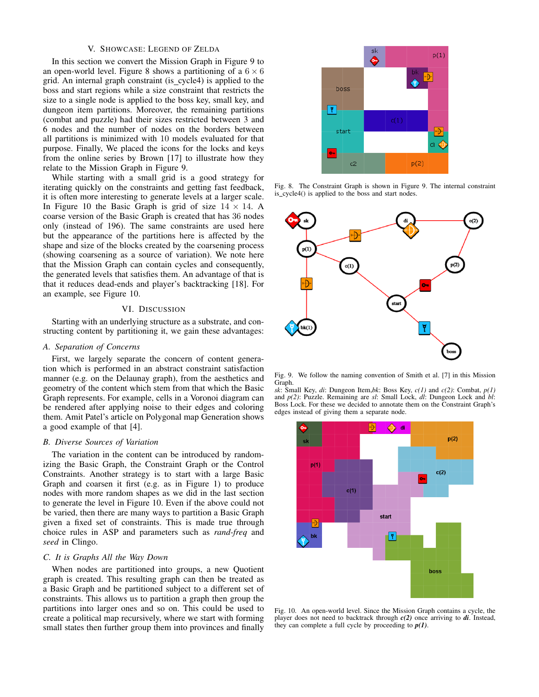## V. SHOWCASE: LEGEND OF ZELDA

In this section we convert the Mission Graph in Figure 9 to an open-world level. Figure 8 shows a partitioning of a  $6 \times 6$ grid. An internal graph constraint (is cycle4) is applied to the boss and start regions while a size constraint that restricts the size to a single node is applied to the boss key, small key, and dungeon item partitions. Moreover, the remaining partitions (combat and puzzle) had their sizes restricted between 3 and 6 nodes and the number of nodes on the borders between all partitions is minimized with 10 models evaluated for that purpose. Finally, We placed the icons for the locks and keys from the online series by Brown [17] to illustrate how they relate to the Mission Graph in Figure 9.

While starting with a small grid is a good strategy for iterating quickly on the constraints and getting fast feedback, it is often more interesting to generate levels at a larger scale. In Figure 10 the Basic Graph is grid of size  $14 \times 14$ . A coarse version of the Basic Graph is created that has 36 nodes only (instead of 196). The same constraints are used here but the appearance of the partitions here is affected by the shape and size of the blocks created by the coarsening process (showing coarsening as a source of variation). We note here that the Mission Graph can contain cycles and consequently, the generated levels that satisfies them. An advantage of that is that it reduces dead-ends and player's backtracking [18]. For an example, see Figure 10.

## VI. DISCUSSION

Starting with an underlying structure as a substrate, and constructing content by partitioning it, we gain these advantages:

## *A. Separation of Concerns*

First, we largely separate the concern of content generation which is performed in an abstract constraint satisfaction manner (e.g. on the Delaunay graph), from the aesthetics and geometry of the content which stem from that which the Basic Graph represents. For example, cells in a Voronoi diagram can be rendered after applying noise to their edges and coloring them. Amit Patel's article on Polygonal map Generation shows a good example of that [4].

## *B. Diverse Sources of Variation*

The variation in the content can be introduced by randomizing the Basic Graph, the Constraint Graph or the Control Constraints. Another strategy is to start with a large Basic Graph and coarsen it first (e.g. as in Figure 1) to produce nodes with more random shapes as we did in the last section to generate the level in Figure 10. Even if the above could not be varied, then there are many ways to partition a Basic Graph given a fixed set of constraints. This is made true through choice rules in ASP and parameters such as *rand-freq* and *seed* in Clingo.

## *C. It is Graphs All the Way Down*

When nodes are partitioned into groups, a new Quotient graph is created. This resulting graph can then be treated as a Basic Graph and be partitioned subject to a different set of constraints. This allows us to partition a graph then group the partitions into larger ones and so on. This could be used to create a political map recursively, where we start with forming small states then further group them into provinces and finally



Fig. 8. The Constraint Graph is shown in Figure 9. The internal constraint is\_cycle4() is applied to the boss and start nodes.



Fig. 9. We follow the naming convention of Smith et al. [7] in this Mission Graph.

*sk*: Small Key, *di*: Dungeon Item,*bk*: Boss Key, *c(1)* and *c(2)*: Combat, *p(1)* and *p(2)*: Puzzle. Remaining are *sl*: Small Lock, *dl*: Dungeon Lock and *bl*: Boss Lock. For these we decided to annotate them on the Constraint Graph's edges instead of giving them a separate node.



Fig. 10. An open-world level. Since the Mission Graph contains a cycle, the player does not need to backtrack through *c(2)* once arriving to *di*. Instead, they can complete a full cycle by proceeding to  $p(1)$ .